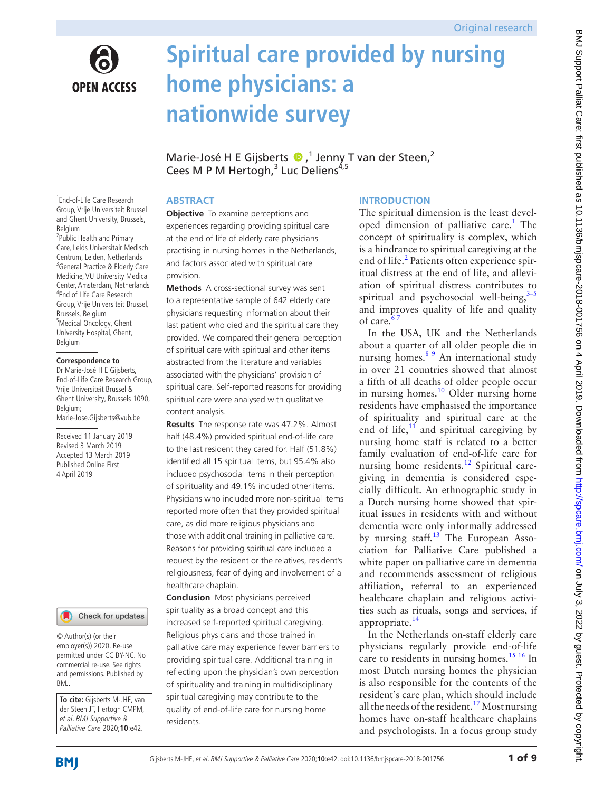

# **Spiritual care provided by nursing home physicians: a nationwide survey**

Marie-JoséH E Gijsberts  $\bullet$ ,<sup>1</sup> Jenny T van der Steen,<sup>2</sup> Cees M P M Hertogh,<sup>3</sup> Luc Deliens<sup>4,5</sup>

# **Abstract**

**Objective** To examine perceptions and experiences regarding providing spiritual care at the end of life of elderly care physicians practising in nursing homes in the Netherlands, and factors associated with spiritual care provision.

**Methods** A cross-sectional survey was sent to a representative sample of 642 elderly care physicians requesting information about their last patient who died and the spiritual care they provided. We compared their general perception of spiritual care with spiritual and other items abstracted from the literature and variables associated with the physicians' provision of spiritual care. Self-reported reasons for providing spiritual care were analysed with qualitative content analysis.

**Results** The response rate was 47.2%. Almost half (48.4%) provided spiritual end-of-life care to the last resident they cared for. Half (51.8%) identified all 15 spiritual items, but 95.4% also included psychosocial items in their perception of spirituality and 49.1% included other items. Physicians who included more non-spiritual items reported more often that they provided spiritual care, as did more religious physicians and those with additional training in palliative care. Reasons for providing spiritual care included a request by the resident or the relatives, resident's religiousness, fear of dying and involvement of a healthcare chaplain.

**Conclusion** Most physicians perceived spirituality as a broad concept and this increased self-reported spiritual caregiving. Religious physicians and those trained in palliative care may experience fewer barriers to providing spiritual care. Additional training in reflecting upon the physician's own perception of spirituality and training in multidisciplinary spiritual caregiving may contribute to the quality of end-of-life care for nursing home residents.

# **INTRODUCTION**

The spiritual dimension is the least developed dimension of palliative care.<sup>1</sup> The concept of spirituality is complex, which is a hindrance to spiritual caregiving at the end of life.<sup>[2](#page-8-1)</sup> Patients often experience spiritual distress at the end of life, and alleviation of spiritual distress contributes to spiritual and psychosocial well-being, $3-5$ and improves quality of life and quality of care.<sup>67</sup>

In the USA, UK and the Netherlands about a quarter of all older people die in nursing homes.<sup>89</sup> An international study in over 21 countries showed that almost a fifth of all deaths of older people occur in nursing homes. $10$  Older nursing home residents have emphasised the importance of spirituality and spiritual care at the end of life, $\frac{11}{11}$  $\frac{11}{11}$  $\frac{11}{11}$  and spiritual caregiving by nursing home staff is related to a better family evaluation of end-of-life care for nursing home residents.<sup>12</sup> Spiritual caregiving in dementia is considered especially difficult. An ethnographic study in a Dutch nursing home showed that spiritual issues in residents with and without dementia were only informally addressed by nursing staff.<sup>[13](#page-8-8)</sup> The European Association for Palliative Care published a white paper on palliative care in dementia and recommends assessment of religious affiliation, referral to an experienced healthcare chaplain and religious activities such as rituals, songs and services, if appropriate.<sup>14</sup>

In the Netherlands on-staff elderly care physicians regularly provide end-of-life care to residents in nursing homes.<sup>15 16</sup> In most Dutch nursing homes the physician is also responsible for the contents of the resident's care plan, which should include all the needs of the resident.<sup>17</sup> Most nursing homes have on-staff healthcare chaplains and psychologists. In a focus group study

1 End-of-Life Care Research Group, Vrije Universiteit Brussel and Ghent University, Brussels, Belgium

<sup>2</sup> Public Health and Primary Care, Leids Universitair Medisch Centrum, Leiden, Netherlands <sup>3</sup> General Practice & Elderly Care Medicine, VU University Medical Center, Amsterdam, Netherlands 4 End of Life Care Research Group, Vrije Universiteit Brussel, Brussels, Belgium <sup>5</sup>Medical Oncology, Ghent University Hospital, Ghent, Belgium

#### **Correspondence to**

Dr Marie-José H E Gijsberts, End-of-Life Care Research Group, Vrije Universiteit Brussel & Ghent University, Brussels 1090, Belgium; Marie-Jose.Gijsberts@vub.be

Received 11 January 2019 Revised 3 March 2019 Accepted 13 March 2019 Published Online First 4 April 2019



© Author(s) (or their employer(s)) 2020. Re-use permitted under CC BY-NC. No commercial re-use. See rights and permissions. Published by BMJ.

**To cite:** Gijsberts M-JHE, van der Steen JT, Hertogh CMPM, et al. BMJ Supportive & Palliative Care 2020;**10**:e42.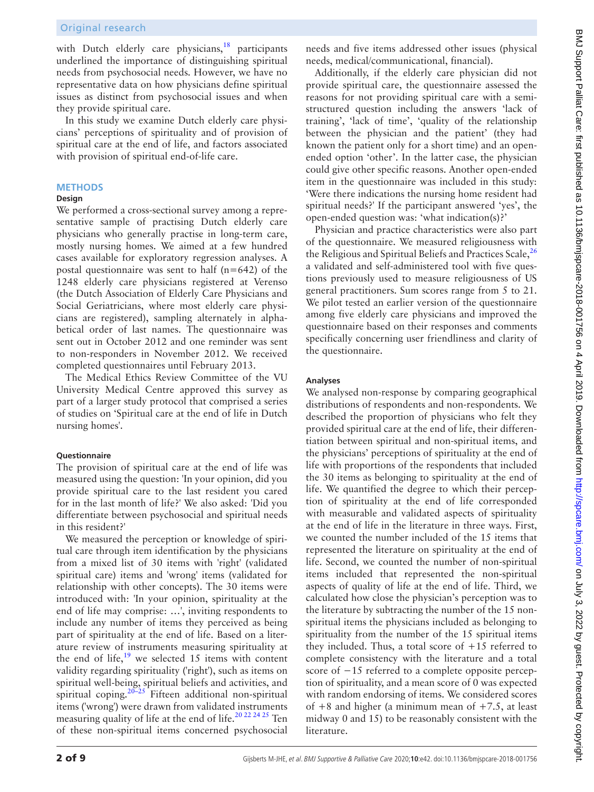# Original research

with Dutch elderly care physicians, $18$  participants underlined the importance of distinguishing spiritual needs from psychosocial needs. However, we have no representative data on how physicians define spiritual issues as distinct from psychosocial issues and when they provide spiritual care.

In this study we examine Dutch elderly care physicians' perceptions of spirituality and of provision of spiritual care at the end of life, and factors associated with provision of spiritual end-of-life care.

#### **Methods**

## **Design**

We performed a cross-sectional survey among a representative sample of practising Dutch elderly care physicians who generally practise in long-term care, mostly nursing homes. We aimed at a few hundred cases available for exploratory regression analyses. A postal questionnaire was sent to half  $(n=642)$  of the 1248 elderly care physicians registered at Verenso (the Dutch Association of Elderly Care Physicians and Social Geriatricians, where most elderly care physicians are registered), sampling alternately in alphabetical order of last names. The questionnaire was sent out in October 2012 and one reminder was sent to non-responders in November 2012. We received completed questionnaires until February 2013.

The Medical Ethics Review Committee of the VU University Medical Centre approved this survey as part of a larger study protocol that comprised a series of studies on 'Spiritual care at the end of life in Dutch nursing homes'.

## **Questionnaire**

The provision of spiritual care at the end of life was measured using the question: 'In your opinion, did you provide spiritual care to the last resident you cared for in the last month of life?' We also asked: 'Did you differentiate between psychosocial and spiritual needs in this resident?'

We measured the perception or knowledge of spiritual care through item identification by the physicians from a mixed list of 30 items with 'right' (validated spiritual care) items and 'wrong' items (validated for relationship with other concepts). The 30 items were introduced with: 'In your opinion, spirituality at the end of life may comprise: …', inviting respondents to include any number of items they perceived as being part of spirituality at the end of life. Based on a literature review of instruments measuring spirituality at the end of life, $19$  we selected 15 items with content validity regarding spirituality ('right'), such as items on spiritual well-being, spiritual beliefs and activities, and spiritual coping.<sup>20–25</sup> Fifteen additional non-spiritual items ('wrong') were drawn from validated instruments measuring quality of life at the end of life.[20 22 24 25](#page-8-14) Ten of these non-spiritual items concerned psychosocial

needs and five items addressed other issues (physical needs, medical/communicational, financial).

Additionally, if the elderly care physician did not provide spiritual care, the questionnaire assessed the reasons for not providing spiritual care with a semistructured question including the answers 'lack of training', 'lack of time', 'quality of the relationship between the physician and the patient' (they had known the patient only for a short time) and an openended option 'other'. In the latter case, the physician could give other specific reasons. Another open-ended item in the questionnaire was included in this study: 'Were there indications the nursing home resident had spiritual needs?' If the participant answered 'yes', the open-ended question was: 'what indication(s)?'

Physician and practice characteristics were also part of the questionnaire. We measured religiousness with the Religious and Spiritual Beliefs and Practices Scale,<sup>26</sup> a validated and self-administered tool with five questions previously used to measure religiousness of US general practitioners. Sum scores range from 5 to 21. We pilot tested an earlier version of the questionnaire among five elderly care physicians and improved the questionnaire based on their responses and comments specifically concerning user friendliness and clarity of the questionnaire.

## **Analyses**

We analysed non-response by comparing geographical distributions of respondents and non-respondents. We described the proportion of physicians who felt they provided spiritual care at the end of life, their differentiation between spiritual and non-spiritual items, and the physicians' perceptions of spirituality at the end of life with proportions of the respondents that included the 30 items as belonging to spirituality at the end of life. We quantified the degree to which their perception of spirituality at the end of life corresponded with measurable and validated aspects of spirituality at the end of life in the literature in three ways. First, we counted the number included of the 15 items that represented the literature on spirituality at the end of life. Second, we counted the number of non-spiritual items included that represented the non-spiritual aspects of quality of life at the end of life. Third, we calculated how close the physician's perception was to the literature by subtracting the number of the 15 nonspiritual items the physicians included as belonging to spirituality from the number of the 15 spiritual items they included. Thus, a total score of  $+15$  referred to complete consistency with the literature and a total score of −15 referred to a complete opposite perception of spirituality, and a mean score of 0 was expected with random endorsing of items. We considered scores of  $+8$  and higher (a minimum mean of  $+7.5$ , at least midway 0 and 15) to be reasonably consistent with the literature.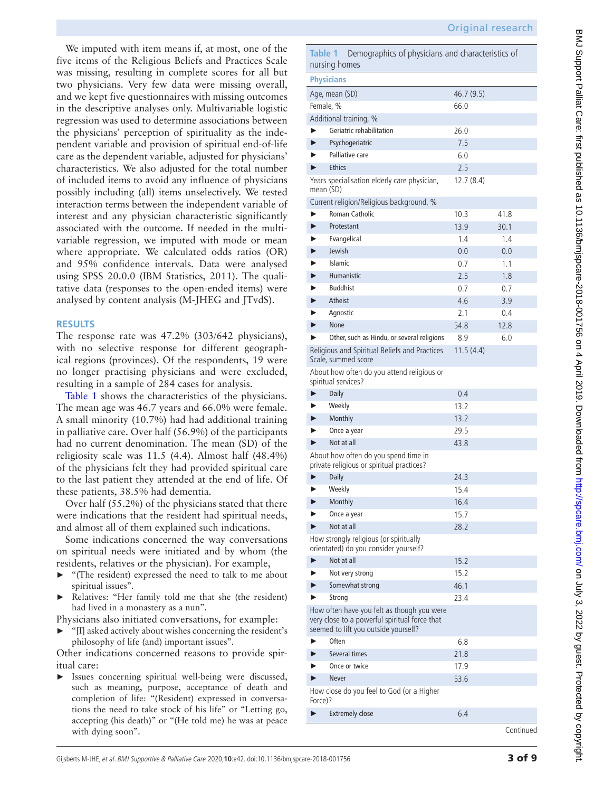We imputed with item means if, at most, one of the five items of the Religious Beliefs and Practices Scale was missing, resulting in complete scores for all but two physicians. Very few data were missing overall, and we kept five questionnaires with missing outcomes in the descriptive analyses only. Multivariable logistic regression was used to determine associations between the physicians' perception of spirituality as the independent variable and provision of spiritual end-of-life care as the dependent variable, adjusted for physicians' characteristics. We also adjusted for the total number of included items to avoid any influence of physicians possibly including (all) items unselectively. We tested interaction terms between the independent variable of interest and any physician characteristic significantly associated with the outcome. If needed in the multivariable regression, we imputed with mode or mean where appropriate. We calculated odds ratios (OR) and 95% confidence intervals. Data were analysed using SPSS 20.0.0 (IBM Statistics, 2011). The qualitative data (responses to the open-ended items) were analysed by content analysis (M-JHEG and JTvdS).

## **Results**

The response rate was 47.2% (303/642 physicians), with no selective response for different geographical regions (provinces). Of the respondents, 19 were no longer practising physicians and were excluded, resulting in a sample of 284 cases for analysis.

[Table](#page-2-0) 1 shows the characteristics of the physicians. The mean age was 46.7 years and 66.0% were female. A small minority (10.7%) had had additional training in palliative care. Over half (56.9%) of the participants had no current denomination. The mean (SD) of the religiosity scale was 11.5 (4.4). Almost half (48.4%) of the physicians felt they had provided spiritual care to the last patient they attended at the end of life. Of these patients, 38.5% had dementia.

Over half (55.2%) of the physicians stated that there were indications that the resident had spiritual needs, and almost all of them explained such indications.

Some indications concerned the way conversations on spiritual needs were initiated and by whom (the residents, relatives or the physician). For example,

- ► "(The resident) expressed the need to talk to me about spiritual issues".
- Relatives: "Her family told me that she (the resident) had lived in a monastery as a nun".

Physicians also initiated conversations, for example:

► "[I] asked actively about wishes concerning the resident's philosophy of life (and) important issues".

Other indications concerned reasons to provide spiritual care:

Issues concerning spiritual well-being were discussed, such as meaning, purpose, acceptance of death and completion of life: "(Resident) expressed in conversations the need to take stock of his life" or "Letting go, accepting (his death)" or "(He told me) he was at peace with dying soon".

<span id="page-2-0"></span>

|                       | Demographics of physicians and characteristics of<br>Table 1<br>nursing homes     |            |      |
|-----------------------|-----------------------------------------------------------------------------------|------------|------|
|                       | <b>Physicians</b>                                                                 |            |      |
| Age, mean (SD)        |                                                                                   | 46.7(9.5)  |      |
|                       | Female, %                                                                         |            |      |
|                       | Additional training, %                                                            |            |      |
|                       | Geriatric rehabilitation                                                          | 26.0       |      |
| ▶                     | Psychogeriatric                                                                   | 7.5        |      |
| ▶                     | Palliative care                                                                   | 6.0        |      |
| $\blacktriangleright$ | Ethics                                                                            | 2.5        |      |
|                       | Years specialisation elderly care physician,<br>mean (SD)                         | 12.7 (8.4) |      |
|                       | Current religion/Religious background, %                                          |            |      |
| ▶                     | Roman Catholic                                                                    | 10.3       | 41.8 |
| ▶                     | Protestant                                                                        | 13.9       | 30.1 |
| ▶                     | Evangelical                                                                       | 1.4        | 1.4  |
| ▶                     | Jewish                                                                            | 0.0        | 0.0  |
| ▶                     | Islamic                                                                           | 0.7        | 1.1  |
| ▶                     | Humanistic                                                                        | 2.5        | 1.8  |
| ь                     | <b>Buddhist</b>                                                                   | 0.7        | 0.7  |
| ▶                     | Atheist                                                                           | 4.6        | 3.9  |
| ▶                     | Agnostic                                                                          | 2.1        | 0.4  |
|                       | None                                                                              | 54.8       | 12.8 |
|                       | Other, such as Hindu, or several religions                                        | 8.9        | 6.0  |
|                       | Religious and Spiritual Beliefs and Practices<br>Scale, summed score              |            |      |
|                       | About how often do you attend religious or<br>spiritual services?                 |            |      |
| ▶                     | Daily                                                                             | 0.4        |      |
| ▶                     | Weekly                                                                            | 13.2       |      |
| ▶                     | Monthly                                                                           | 13.2       |      |
| ь                     | Once a year                                                                       | 29.5       |      |
| ▶                     | Not at all                                                                        | 43.8       |      |
|                       | About how often do you spend time in<br>private religious or spiritual practices? |            |      |
| ▶                     | Daily                                                                             | 24.3       |      |
| ▶                     | Weekly                                                                            | 15.4       |      |
| ▶                     | Monthly                                                                           | 16.4       |      |
| ▶                     | Once a year                                                                       | 15.7       |      |
|                       | Not at all                                                                        | 28.2       |      |
|                       | How strongly religious (or spiritually<br>Cileptrion Indiano unu ch (hetctrealt)  |            |      |

|                                                      | Thom strongly religious (or spiritually<br>orientated) do you consider yourself?                                                    |      |
|------------------------------------------------------|-------------------------------------------------------------------------------------------------------------------------------------|------|
|                                                      | Not at all                                                                                                                          | 15.2 |
| ▶                                                    | Not very strong                                                                                                                     | 15.2 |
|                                                      | Somewhat strong                                                                                                                     | 46.1 |
|                                                      | Strong                                                                                                                              | 23.4 |
|                                                      | How often have you felt as though you were<br>very close to a powerful spiritual force that<br>seemed to lift you outside yourself? |      |
|                                                      | Often                                                                                                                               | 6.8  |
|                                                      | Several times                                                                                                                       | 21.8 |
| ▶                                                    | Once or twice                                                                                                                       | 17.9 |
|                                                      | <b>Never</b>                                                                                                                        | 53.6 |
| How close do you feel to God (or a Higher<br>Force)? |                                                                                                                                     |      |
|                                                      | <b>Extremely close</b>                                                                                                              | 6.4  |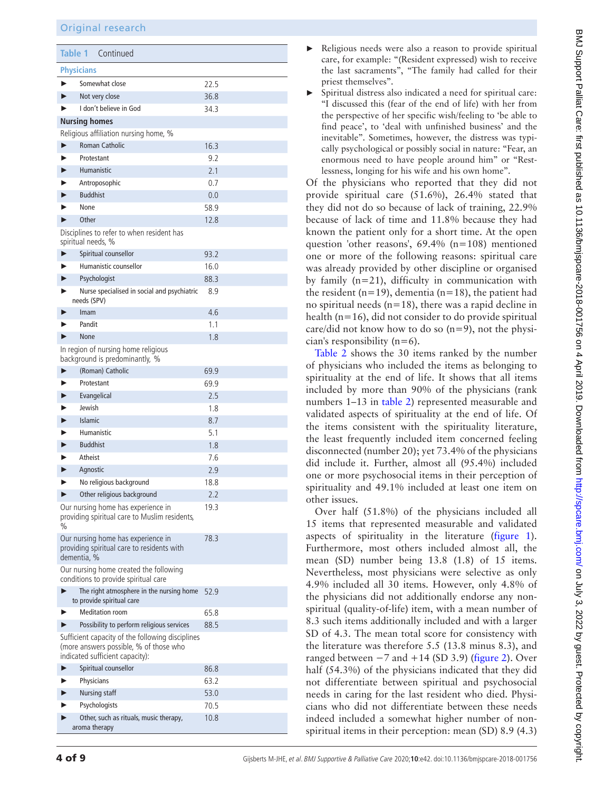|                                                                                                                               | <b>Table 1</b> Continued                                                                        |             |  |
|-------------------------------------------------------------------------------------------------------------------------------|-------------------------------------------------------------------------------------------------|-------------|--|
|                                                                                                                               | <b>Physicians</b>                                                                               |             |  |
| ▶                                                                                                                             | Somewhat close                                                                                  | 22.5        |  |
| ▶                                                                                                                             | Not very close                                                                                  | 36.8        |  |
| ▶                                                                                                                             | I don't believe in God                                                                          | 34.3        |  |
|                                                                                                                               | <b>Nursing homes</b>                                                                            |             |  |
|                                                                                                                               | Religious affiliation nursing home, %                                                           |             |  |
| ▶                                                                                                                             | Roman Catholic                                                                                  | 16.3        |  |
|                                                                                                                               | Protestant                                                                                      | 9.2         |  |
| ▶                                                                                                                             | Humanistic                                                                                      | 2.1         |  |
|                                                                                                                               | Antroposophic                                                                                   | 0.7         |  |
| ▶                                                                                                                             | <b>Buddhist</b>                                                                                 | 0.0         |  |
|                                                                                                                               | None                                                                                            | 58.9        |  |
|                                                                                                                               | Other                                                                                           | 12.8        |  |
|                                                                                                                               | Disciplines to refer to when resident has<br>spiritual needs, %                                 |             |  |
| ▶                                                                                                                             | Spiritual counsellor                                                                            | 93.2        |  |
|                                                                                                                               | Humanistic counsellor                                                                           | 16.0        |  |
| ▶                                                                                                                             | Psychologist                                                                                    | 88.3        |  |
|                                                                                                                               | Nurse specialised in social and psychiatric<br>needs (SPV)                                      | 8.9         |  |
| ▶                                                                                                                             | Imam                                                                                            | 4.6         |  |
|                                                                                                                               | Pandit                                                                                          | 1.1         |  |
| ▶                                                                                                                             | None                                                                                            | 1.8         |  |
|                                                                                                                               | In region of nursing home religious<br>background is predominantly, %                           |             |  |
| ▶                                                                                                                             | (Roman) Catholic                                                                                | 69.9        |  |
| ▶                                                                                                                             | Protestant                                                                                      | 69.9        |  |
| ▶                                                                                                                             | Evangelical                                                                                     | 2.5         |  |
|                                                                                                                               | Jewish                                                                                          | 1.8         |  |
|                                                                                                                               | <b>Islamic</b>                                                                                  | 8.7         |  |
|                                                                                                                               | Humanistic                                                                                      | 5.1         |  |
|                                                                                                                               | <b>Buddhist</b>                                                                                 | 1.8         |  |
| ▶                                                                                                                             | Atheist                                                                                         | 7.6         |  |
| ▶                                                                                                                             | Agnostic<br>No religious background                                                             | 2.9<br>18.8 |  |
|                                                                                                                               | Other religious background                                                                      | 2.2         |  |
|                                                                                                                               | Our nursing home has experience in                                                              | 19.3        |  |
| %                                                                                                                             | providing spiritual care to Muslim residents,                                                   |             |  |
|                                                                                                                               | Our nursing home has experience in<br>providing spiritual care to residents with<br>dementia, % | 78.3        |  |
|                                                                                                                               | Our nursing home created the following<br>conditions to provide spiritual care                  |             |  |
|                                                                                                                               | The right atmosphere in the nursing home<br>to provide spiritual care                           | 52.9        |  |
|                                                                                                                               | <b>Meditation room</b>                                                                          | 65.8        |  |
|                                                                                                                               | Possibility to perform religious services                                                       | 88.5        |  |
| Sufficient capacity of the following disciplines<br>(more answers possible, % of those who<br>indicated sufficient capacity): |                                                                                                 |             |  |
|                                                                                                                               | Spiritual counsellor                                                                            | 86.8        |  |
|                                                                                                                               | Physicians                                                                                      | 63.2        |  |
|                                                                                                                               | Nursing staff                                                                                   | 53.0        |  |
|                                                                                                                               | Psychologists                                                                                   | 70.5        |  |
|                                                                                                                               | Other, such as rituals, music therapy,<br>aroma therapy                                         | 10.8        |  |

- ► Religious needs were also a reason to provide spiritual care, for example: "(Resident expressed) wish to receive the last sacraments", "The family had called for their priest themselves".
- Spiritual distress also indicated a need for spiritual care: "I discussed this (fear of the end of life) with her from the perspective of her specific wish/feeling to 'be able to find peace', to 'deal with unfinished business' and the inevitable". Sometimes, however, the distress was typi cally psychological or possibly social in nature: "Fear, an enormous need to have people around him" or "Rest lessness, longing for his wife and his own home".

Of the physicians who reported that they did not provide spiritual care (51.6%), 26.4% stated that they did not do so because of lack of training, 22.9% because of lack of time and 11.8% because they had known the patient only for a short time. At the open question 'other reasons', 69.4% (n=108) mentioned one or more of the following reasons: spiritual care was already provided by other discipline or organised by family (n=21), difficulty in communication with the resident (n=19), dementia (n=18), the patient had no spiritual needs  $(n=18)$ , there was a rapid decline in health  $(n=16)$ , did not consider to do provide spiritual care/did not know how to do so  $(n=9)$ , not the physician's responsibility  $(n=6)$ .

[Table](#page-4-0) 2 shows the 30 items ranked by the number of physicians who included the items as belonging to spirituality at the end of life. It shows that all items included by more than 90% of the physicians (rank numbers 1–13 in [table](#page-4-0) 2) represented measurable and validated aspects of spirituality at the end of life. Of the items consistent with the spirituality literature, the least frequently included item concerned feeling disconnected (number 20); yet 73.4% of the physicians did include it. Further, almost all (95.4%) included one or more psychosocial items in their perception of spirituality and 49.1% included at least one item on other issues.

Over half (51.8%) of the physicians included all 15 items that represented measurable and validated aspects of spirituality in the literature ([figure](#page-5-0) 1). Furthermore, most others included almost all, the mean (SD) number being 13.8 (1.8) of 15 items. Nevertheless, most physicians were selective as only 4.9% included all 30 items. However, only 4.8% of the physicians did not additionally endorse any nonspiritual (quality-of-life) item, with a mean number of 8.3 such items additionally included and with a larger SD of 4.3. The mean total score for consistency with the literature was therefore 5.5 (13.8 minus 8.3), and ranged between  $-7$  and  $+14$  (SD 3.9) ([figure](#page-6-0) 2). Over half (54.3%) of the physicians indicated that they did not differentiate between spiritual and psychosocial needs in caring for the last resident who died. Physi cians who did not differentiate between these needs indeed included a somewhat higher number of nonspiritual items in their perception: mean (SD) 8.9 (4.3)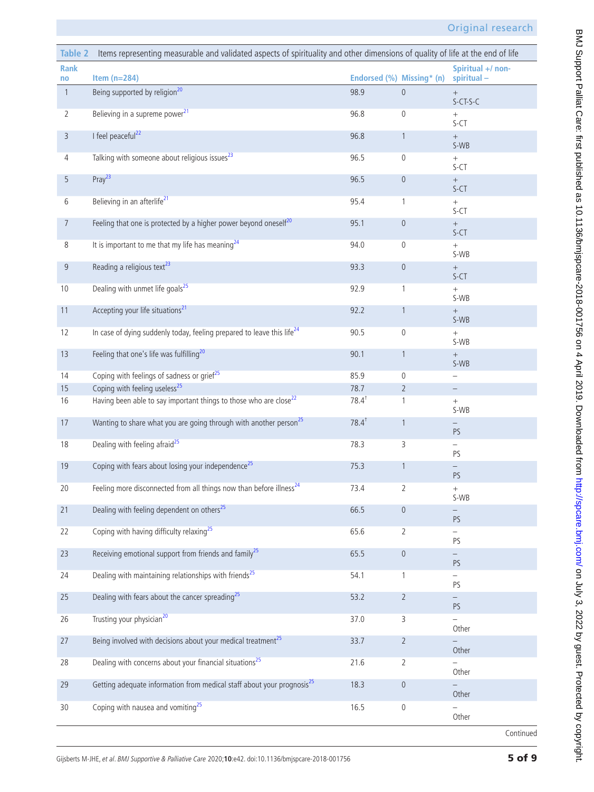<span id="page-4-0"></span>

| <b>Table 2</b>    | Items representing measurable and validated aspects of spirituality and other dimensions of quality of life at the end of life |                  |                           |                                 |
|-------------------|--------------------------------------------------------------------------------------------------------------------------------|------------------|---------------------------|---------------------------------|
| <b>Rank</b><br>no | Item $(n=284)$                                                                                                                 |                  | Endorsed (%) Missing* (n) | Spiritual +/ non-<br>spiritual- |
| $\mathbf{1}$      | Being supported by religion <sup>20</sup>                                                                                      | 98.9             | $\overline{0}$            | $^+$<br>$S-CT-S-C$              |
| 2                 | Believing in a supreme power <sup>21</sup>                                                                                     | 96.8             | 0                         | $^{+}$<br>$S-CT$                |
| 3                 | I feel peaceful <sup>22</sup>                                                                                                  | 96.8             | $\mathbf{1}$              | $\boldsymbol{+}$<br>S-WB        |
| 4                 | Talking with someone about religious issues <sup>23</sup>                                                                      | 96.5             | 0                         | $^{+}$<br>$S - CT$              |
| 5                 | Pray <sup>23</sup>                                                                                                             | 96.5             | $\mathbf 0$               | $+$<br>$S-CT$                   |
| 6                 | Believing in an afterlife <sup>21</sup>                                                                                        | 95.4             | 1                         | $\boldsymbol{+}$<br>S-CT        |
| $\overline{7}$    | Feeling that one is protected by a higher power beyond oneself <sup>20</sup>                                                   | 95.1             | $\mathbf 0$               | $\qquad \qquad +$<br>$S-CT$     |
| 8                 | It is important to me that my life has meaning <sup>24</sup>                                                                   | 94.0             | 0                         | $+$<br>S-WB                     |
| 9                 | Reading a religious text <sup>23</sup>                                                                                         | 93.3             | $\mathsf{O}\xspace$       | $+$<br>$S-CT$                   |
| 10                | Dealing with unmet life goals <sup>25</sup>                                                                                    | 92.9             | 1                         | $^{+}$<br>S-WB                  |
| 11                | Accepting your life situations <sup>21</sup>                                                                                   | 92.2             | 1                         | $\, +$<br>S-WB                  |
| 12                | In case of dying suddenly today, feeling prepared to leave this life $^{24}$                                                   | 90.5             | 0                         | $+$<br>S-WB                     |
| 13                | Feeling that one's life was fulfilling <sup>20</sup>                                                                           | 90.1             | 1                         | $+$<br>S-WB                     |
| 14                | Coping with feelings of sadness or grief <sup>25</sup>                                                                         | 85.9             | 0                         |                                 |
| 15                | Coping with feeling useless <sup>25</sup>                                                                                      | 78.7             | $\overline{2}$            | $\overline{\phantom{a}}$        |
| 16                | Having been able to say important things to those who are close <sup>22</sup>                                                  | $78.4^{\dagger}$ | 1                         | $^{+}$<br>S-WB                  |
| 17                | Wanting to share what you are going through with another person <sup>25</sup>                                                  | $78.4^{\dagger}$ | $\mathbf{1}$              | PS                              |
| 18                | Dealing with feeling afraid <sup>25</sup>                                                                                      | 78.3             | 3                         | PS                              |
| 19                | Coping with fears about losing your independence <sup>25</sup>                                                                 | 75.3             | 1                         | PS                              |
| 20                | Feeling more disconnected from all things now than before illness <sup>24</sup>                                                | 73.4             | 2                         | $^{+}$<br>S-WB                  |
| 21                | Dealing with feeling dependent on others <sup>25</sup>                                                                         | 66.5             | $\mathsf{O}\xspace$       | PS                              |
| 22                | Coping with having difficulty relaxing <sup>25</sup>                                                                           | 65.6             | 2                         | PS                              |
| 23                | Receiving emotional support from friends and family <sup>25</sup>                                                              | 65.5             | $\mathsf{O}\xspace$       | PS                              |
| 24                | Dealing with maintaining relationships with friends <sup>25</sup>                                                              | 54.1             | 1                         | PS                              |
| 25                | Dealing with fears about the cancer spreading <sup>25</sup>                                                                    | 53.2             | $\overline{2}$            | PS                              |
| 26                | Trusting your physician <sup>20</sup>                                                                                          | 37.0             | 3                         | Other                           |
| 27                | Being involved with decisions about your medical treatment <sup>25</sup>                                                       | 33.7             | $\overline{2}$            | Other                           |
| 28                | Dealing with concerns about your financial situations <sup>25</sup>                                                            | 21.6             | $\overline{2}$            | Other                           |
| 29                | Getting adequate information from medical staff about your prognosis <sup>25</sup>                                             | 18.3             | $\overline{0}$            | Other                           |
| 30                | Coping with nausea and vomiting <sup>25</sup>                                                                                  | 16.5             | 0                         | Other                           |
|                   |                                                                                                                                |                  |                           | Continued                       |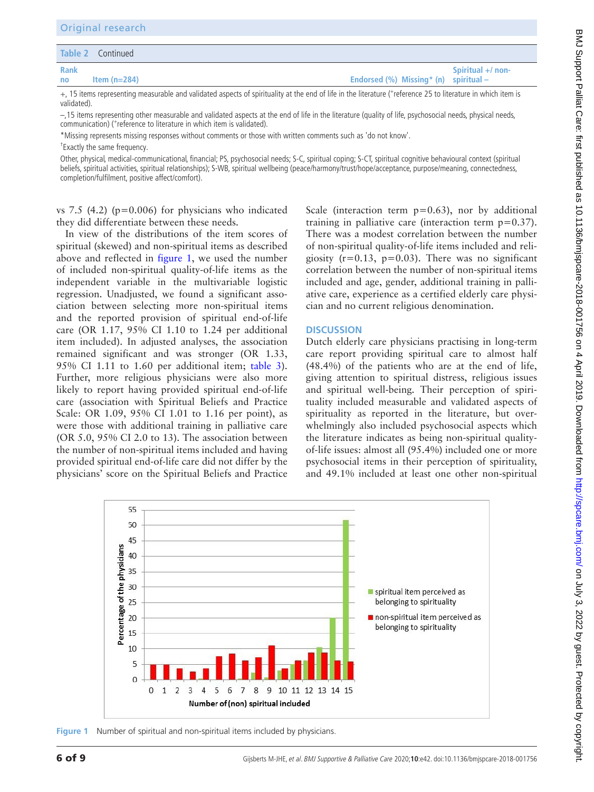|                   | <b>Table 2</b> Continued |                                          |                   |
|-------------------|--------------------------|------------------------------------------|-------------------|
| <b>Rank</b><br>no | Item $(n=284)$           | Endorsed $(\%)$ Missing* (n) spiritual – | Spiritual +/ non- |

+, 15 items representing measurable and validated aspects of spirituality at the end of life in the literature (+reference 25 to literature in which item is validated).

–,15 items representing other measurable and validated aspects at the end of life in the literature (quality of life, psychosocial needs, physical needs, communication) (<sup>+</sup>reference to literature in which item is validated).

\*Missing represents missing responses without comments or those with written comments such as 'do not know'.

† Exactly the same frequency.

Other, physical, medical-communicational, financial; PS, psychosocial needs; S-C, spiritual coping; S-CT, spiritual cognitive behavioural context (spiritual beliefs, spiritual activities, spiritual relationships); S-WB, spiritual wellbeing (peace/harmony/trust/hope/acceptance, purpose/meaning, connectedness, completion/fulfilment, positive affect/comfort).

vs  $7.5$  (4.2) ( $p=0.006$ ) for physicians who indicated they did differentiate between these needs.

In view of the distributions of the item scores of spiritual (skewed) and non-spiritual items as described above and reflected in [figure](#page-5-0) 1, we used the number of included non*-*spiritual quality-of-life items as the independent variable in the multivariable logistic regression. Unadjusted, we found a significant association between selecting more non-spiritual items and the reported provision of spiritual end-of-life care (OR 1.17, 95% CI 1.10 to 1.24 per additional item included). In adjusted analyses, the association remained significant and was stronger (OR 1.33, 95% CI 1.11 to 1.60 per additional item; [table](#page-6-1) 3). Further, more religious physicians were also more likely to report having provided spiritual end-of-life care (association with Spiritual Beliefs and Practice Scale: OR 1.09, 95% CI 1.01 to 1.16 per point), as were those with additional training in palliative care (OR 5.0, 95% CI 2.0 to 13). The association between the number of non-spiritual items included and having provided spiritual end-of-life care did not differ by the physicians' score on the Spiritual Beliefs and Practice

Scale (interaction term  $p=0.63$ ), nor by additional training in palliative care (interaction term  $p=0.37$ ). There was a modest correlation between the number of non-spiritual quality-of-life items included and religiosity ( $r=0.13$ ,  $p=0.03$ ). There was no significant correlation between the number of non-spiritual items included and age, gender, additional training in palliative care, experience as a certified elderly care physician and no current religious denomination.

## **Discussion**

Dutch elderly care physicians practising in long-term care report providing spiritual care to almost half (48.4%) of the patients who are at the end of life, giving attention to spiritual distress, religious issues and spiritual well-being. Their perception of spirituality included measurable and validated aspects of spirituality as reported in the literature, but overwhelmingly also included psychosocial aspects which the literature indicates as being non-spiritual qualityof-life issues: almost all (95.4%) included one or more psychosocial items in their perception of spirituality, and 49.1% included at least one other non-spiritual



<span id="page-5-0"></span>**Figure 1** Number of spiritual and non-spiritual items included by physicians.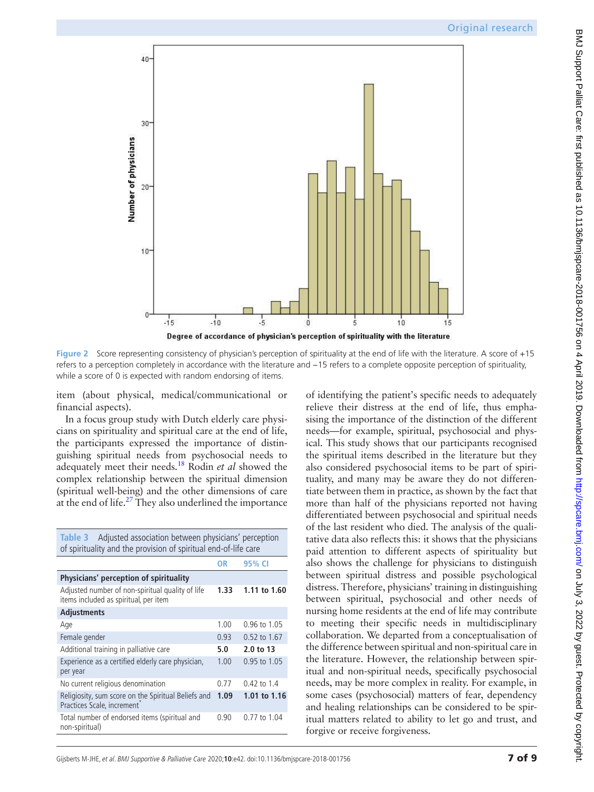



Figure 2 Score representing consistency of physician's perception of spirituality at the end of life with the literature. A score of +15

item (about physical, medical/communicational or financial aspects).

while a score of 0 is expected with random endorsing of items.

In a focus group study with Dutch elderly care physicians on spirituality and spiritual care at the end of life, the participants expressed the importance of distinguishing spiritual needs from psychosocial needs to adequately meet their needs[.18](#page-8-12) Rodin *et al* showed the complex relationship between the spiritual dimension (spiritual well-being) and the other dimensions of care at the end of life. $^{27}$  They also underlined the importance

<span id="page-6-1"></span>**Table 3** Adjusted association between physicians' perception of spirituality and the provision of spiritual end-of-life care

|                                                                                           | 0R   | 95% CI       |  |  |
|-------------------------------------------------------------------------------------------|------|--------------|--|--|
| Physicians' perception of spirituality                                                    |      |              |  |  |
| Adjusted number of non-spiritual quality of life<br>items included as spiritual, per item | 1.33 | 1.11 to 1.60 |  |  |
| <b>Adjustments</b>                                                                        |      |              |  |  |
| Age                                                                                       | 1.00 | 0.96 to 1.05 |  |  |
| Female gender                                                                             | 0.93 | 0.52 to 1.67 |  |  |
| Additional training in palliative care                                                    | 5.0  | 2.0 to 13    |  |  |
| Experience as a certified elderly care physician,<br>per year                             | 1.00 | 0.95 to 1.05 |  |  |
| No current religious denomination                                                         | 0.77 | 0.42 to 1.4  |  |  |
| Religiosity, sum score on the Spiritual Beliefs and<br>Practices Scale, increment         | 1.09 | 1.01 to 1.16 |  |  |
| Total number of endorsed items (spiritual and<br>non-spiritual)                           | 0.90 | 0.77 to 1.04 |  |  |

<span id="page-6-0"></span>of identifying the patient's specific needs to adequately relieve their distress at the end of life, thus emphasising the importance of the distinction of the different needs—for example, spiritual, psychosocial and physical. This study shows that our participants recognised the spiritual items described in the literature but they also considered psychosocial items to be part of spirituality, and many may be aware they do not differentiate between them in practice, as shown by the fact that more than half of the physicians reported not having differentiated between psychosocial and spiritual needs of the last resident who died. The analysis of the qualitative data also reflects this: it shows that the physicians paid attention to different aspects of spirituality but also shows the challenge for physicians to distinguish between spiritual distress and possible psychological distress. Therefore, physicians' training in distinguishing between spiritual, psychosocial and other needs of nursing home residents at the end of life may contribute to meeting their specific needs in multidisciplinary collaboration. We departed from a conceptualisation of the difference between spiritual and non-spiritual care in the literature. However, the relationship between spiritual and non-spiritual needs, specifically psychosocial needs, may be more complex in reality. For example, in some cases (psychosocial) matters of fear, dependency and healing relationships can be considered to be spiritual matters related to ability to let go and trust, and forgive or receive forgiveness.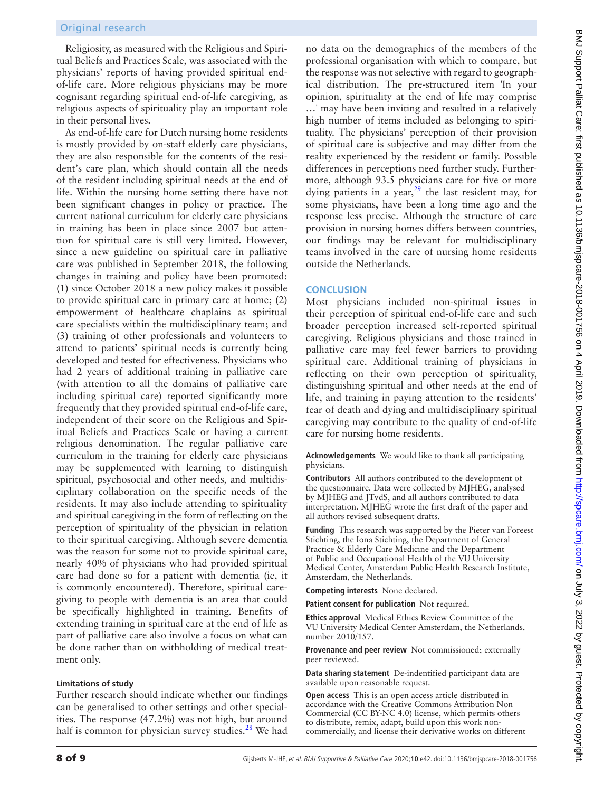# Original research

Religiosity, as measured with the Religious and Spiritual Beliefs and Practices Scale, was associated with the physicians' reports of having provided spiritual endof-life care. More religious physicians may be more cognisant regarding spiritual end-of-life caregiving, as religious aspects of spirituality play an important role in their personal lives.

As end-of-life care for Dutch nursing home residents is mostly provided by on-staff elderly care physicians, they are also responsible for the contents of the resident's care plan, which should contain all the needs of the resident including spiritual needs at the end of life. Within the nursing home setting there have not been significant changes in policy or practice. The current national curriculum for elderly care physicians in training has been in place since 2007 but attention for spiritual care is still very limited. However, since a new guideline on spiritual care in palliative care was published in September 2018, the following changes in training and policy have been promoted: (1) since October 2018 a new policy makes it possible to provide spiritual care in primary care at home; (2) empowerment of healthcare chaplains as spiritual care specialists within the multidisciplinary team; and (3) training of other professionals and volunteers to attend to patients' spiritual needs is currently being developed and tested for effectiveness. Physicians who had 2 years of additional training in palliative care (with attention to all the domains of palliative care including spiritual care) reported significantly more frequently that they provided spiritual end-of-life care, independent of their score on the Religious and Spiritual Beliefs and Practices Scale or having a current religious denomination. The regular palliative care curriculum in the training for elderly care physicians may be supplemented with learning to distinguish spiritual, psychosocial and other needs, and multidisciplinary collaboration on the specific needs of the residents. It may also include attending to spirituality and spiritual caregiving in the form of reflecting on the perception of spirituality of the physician in relation to their spiritual caregiving. Although severe dementia was the reason for some not to provide spiritual care, nearly 40% of physicians who had provided spiritual care had done so for a patient with dementia (ie, it is commonly encountered). Therefore, spiritual caregiving to people with dementia is an area that could be specifically highlighted in training. Benefits of extending training in spiritual care at the end of life as part of palliative care also involve a focus on what can be done rather than on withholding of medical treatment only.

## **Limitations of study**

Further research should indicate whether our findings can be generalised to other settings and other specialities. The response (47.2%) was not high, but around half is common for physician survey studies. $^{28}$  We had

no data on the demographics of the members of the professional organisation with which to compare, but the response was not selective with regard to geographical distribution. The pre-structured item 'In your opinion, spirituality at the end of life may comprise …' may have been inviting and resulted in a relatively high number of items included as belonging to spirituality. The physicians' perception of their provision of spiritual care is subjective and may differ from the reality experienced by the resident or family. Possible differences in perceptions need further study. Furthermore, although 93.5 physicians care for five or more dying patients in a year, $^{29}$  the last resident may, for some physicians, have been a long time ago and the response less precise. Although the structure of care provision in nursing homes differs between countries, our findings may be relevant for multidisciplinary teams involved in the care of nursing home residents outside the Netherlands.

# **Conclusion**

Most physicians included non-spiritual issues in their perception of spiritual end-of-life care and such broader perception increased self-reported spiritual caregiving. Religious physicians and those trained in palliative care may feel fewer barriers to providing spiritual care. Additional training of physicians in reflecting on their own perception of spirituality, distinguishing spiritual and other needs at the end of life, and training in paying attention to the residents' fear of death and dying and multidisciplinary spiritual caregiving may contribute to the quality of end-of-life care for nursing home residents.

**Acknowledgements** We would like to thank all participating physicians.

**Contributors** All authors contributed to the development of the questionnaire. Data were collected by MJHEG, analysed by MJHEG and JTvdS, and all authors contributed to data interpretation. MJHEG wrote the first draft of the paper and all authors revised subsequent drafts.

**Funding** This research was supported by the Pieter van Foreest Stichting, the Iona Stichting, the Department of General Practice & Elderly Care Medicine and the Department of Public and Occupational Health of the VU University Medical Center, Amsterdam Public Health Research Institute, Amsterdam, the Netherlands.

**Competing interests** None declared.

**Patient consent for publication** Not required.

**Ethics approval** Medical Ethics Review Committee of the VU University Medical Center Amsterdam, the Netherlands, number 2010/157.

**Provenance and peer review** Not commissioned; externally peer reviewed.

**Data sharing statement** De-indentified participant data are available upon reasonable request.

**Open access** This is an open access article distributed in accordance with the Creative Commons Attribution Non Commercial (CC BY-NC 4.0) license, which permits others to distribute, remix, adapt, build upon this work noncommercially, and license their derivative works on different